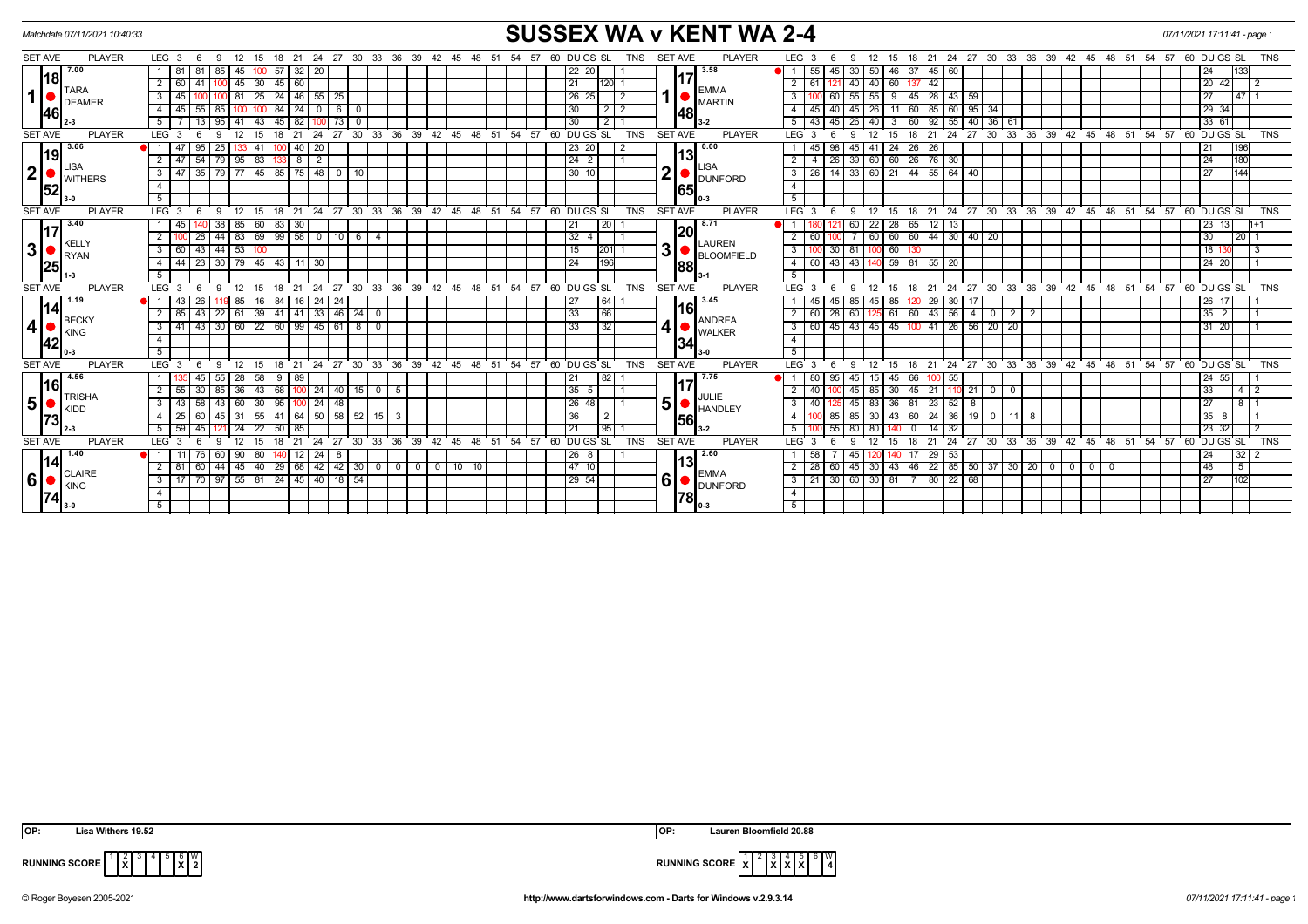|                        | Matchdate 07/11/2021 10:40:33                      |                                                                                                           |                                                                                | <b>SUSSEX WA v KENT WA 2-4</b>                                                                                                                   |                                                  |  |  |  |  |  |  |  |  |  |
|------------------------|----------------------------------------------------|-----------------------------------------------------------------------------------------------------------|--------------------------------------------------------------------------------|--------------------------------------------------------------------------------------------------------------------------------------------------|--------------------------------------------------|--|--|--|--|--|--|--|--|--|
| <b>SET AVE</b>         | <b>PLAYER</b>                                      | LEG <sub>3</sub><br>15 18 21 24 27 30 33 36 39 42 45<br>- 9<br>12<br>- 6                                  | <b>TNS</b><br>60 DU GS SL<br>-48<br>54<br>- 57                                 | <b>PLAYER</b><br><b>SET AVE</b><br>LEG <sub>3</sub><br>18 21 24 27 30 33 36 39 42 45 48 51 54 57 60 DUGS SL<br>12<br>-9<br>15                    | <b>TNS</b>                                       |  |  |  |  |  |  |  |  |  |
| l18l<br>1 <sup>1</sup> | 7.00<br><b>TARA</b><br><b>DEAMER</b><br><b>146</b> | 20<br>  32  <br>-57<br>1   81<br>-81<br>85<br>45<br>100 I                                                 | 22 20                                                                          | 3.58<br>55<br>30<br>50<br>46 37<br>45 60<br>45 I<br>17                                                                                           | 133<br>24                                        |  |  |  |  |  |  |  |  |  |
|                        |                                                    | $100$ 45 30 45 60<br>$2 \mid 60$<br>41                                                                    | 21<br>120 1                                                                    | 40 60 137<br>42<br>$2 \mid 61$<br>40<br><b>EMMA</b>                                                                                              | 20 42 <br>2                                      |  |  |  |  |  |  |  |  |  |
|                        |                                                    | 100 81 25 24 46 55 25<br>$3 \mid 45$                                                                      | 26 25<br>$\overline{2}$                                                        | 60   55   55   9   45   28   43   59  <br>3<br><b>MARTIN</b>                                                                                     | <b>27 I</b><br>l 47 L 1                          |  |  |  |  |  |  |  |  |  |
|                        |                                                    | 55<br>$84$   24<br>$0 6 0$<br>4 I<br>85   100<br>45<br>100                                                | 30<br>212                                                                      | 26<br>11 60 85 60 95 34<br>40 45<br>$4 \square$<br>45<br>48                                                                                      | 29 34                                            |  |  |  |  |  |  |  |  |  |
|                        |                                                    | 13<br>43<br>$45 \mid 82$<br>5 I<br>95141<br>73                                                            | 30 <sup>°</sup><br>2   1                                                       | 92<br>40 36 61<br>$5 \mid 43$<br>40<br>55<br>$45 \mid 26$<br>$\overline{60}$<br>3                                                                | 33 61                                            |  |  |  |  |  |  |  |  |  |
| <b>SET AVE</b>         | <b>PLAYER</b>                                      | LEG <sup>3</sup><br>30<br>33<br>21<br>24<br>27<br>18<br>15                                                | TNS<br>36<br>39<br>42<br>48<br>51<br>54<br>57<br>60 DUGS SL<br>$45^{\circ}$    | $39 \t 42 \t 45$<br><b>SET AVE</b><br><b>PLAYER</b><br>LEG <sub>3</sub><br>30<br>33<br>ີ 36<br>21<br>24<br>27<br>15<br>18                        | $60$ DU GS SL<br>48<br>54.57<br><b>TNS</b><br>51 |  |  |  |  |  |  |  |  |  |
|                        | 3.66<br>19<br><b>ISA</b><br>WITHERS                | 20<br>95<br>41<br>40                                                                                      | 23 20                                                                          | 0.00<br>26<br>26<br>45<br>45<br>41<br>24 I                                                                                                       | 196                                              |  |  |  |  |  |  |  |  |  |
|                        |                                                    | $\overline{83}$<br>54<br>$79$   95<br>$133$ 8 2<br>$2 \mid 47 \mid$                                       | $\sqrt{24}$ 2                                                                  | 13<br>$\boxed{26}$ 39 60 60 26 76 30<br>$\overline{2}$<br>$\overline{4}$<br><b>LISA</b>                                                          | 180<br>$\overline{24}$                           |  |  |  |  |  |  |  |  |  |
| $\mathbf 2$            |                                                    | $\overline{35}$<br>79 77 45 85 75 48 0 10<br>$3 \mid 47$                                                  | 30110                                                                          | $\boldsymbol{2}$<br>14 33 60 21 44 55 64 40<br>$3 \mid 26$<br><b>DUNFORD</b>                                                                     | 144<br>27                                        |  |  |  |  |  |  |  |  |  |
| 52                     |                                                    | 4                                                                                                         |                                                                                | $\overline{4}$<br>65                                                                                                                             |                                                  |  |  |  |  |  |  |  |  |  |
|                        |                                                    | 5                                                                                                         |                                                                                | 5                                                                                                                                                |                                                  |  |  |  |  |  |  |  |  |  |
| <b>SET AVE</b>         | <b>PLAYER</b>                                      | LEG <sup>3</sup><br>ີ 12<br>$^{\circ}$ 21<br>- 6<br>-9<br>15<br>18                                        | 24 27 30 33 36 39 42 45 48 51 54 57 60 DUGS SL<br><b>TNS</b>                   | <b>SET AVE</b><br><b>PLAYER</b><br>LEG <sub>3</sub><br>21 24 27 30 33 36 39 42 45 48 51 54 57 60 DUGS SL<br>12<br>15<br>$^{\circ}$ 18<br>6<br>9  | <b>TNS</b>                                       |  |  |  |  |  |  |  |  |  |
|                        | 3.40                                               | 60 83 30<br>$38 \mid 85$<br>45                                                                            | 21<br>l 20 l                                                                   | $\overline{22}$<br>8.71<br>60<br>28 65<br>$12$ 13                                                                                                | 23   13  <br>1+1                                 |  |  |  |  |  |  |  |  |  |
|                        |                                                    | $69$ 99 58 0 10 6 4<br>28<br>2 I<br>44<br> 83                                                             | $32 \mid 4$                                                                    | 20<br>44 30 40 20<br>$\overline{2}$<br>60<br>60 60<br>60                                                                                         | 30<br>20                                         |  |  |  |  |  |  |  |  |  |
| $\mathbf 3$            | KELLY<br><b>RYAN</b><br><b>125</b>                 | 43<br>$44 \mid 53$<br>$3 \mid 60$<br>100                                                                  | 15<br>$201$ 1                                                                  | LAUREN<br>3<br>60<br>3 I<br>30 81<br><b>BLOOMFIELD</b>                                                                                           | 18 13<br>3                                       |  |  |  |  |  |  |  |  |  |
|                        |                                                    | $4 \mid 44 \mid$                                                                                          | 24<br>196                                                                      | 43 43 140<br>$59$ 81 55 20<br>$4 \overline{60}$<br>88                                                                                            | 24 20                                            |  |  |  |  |  |  |  |  |  |
|                        |                                                    | 5                                                                                                         |                                                                                | $\overline{5}$                                                                                                                                   |                                                  |  |  |  |  |  |  |  |  |  |
| <b>SET AVE</b>         | <b>PLAYER</b>                                      | LEG <sub>3</sub><br>12<br>15<br>21<br>9<br>18<br>- 6                                                      | 24 27 30 33 36 39 42 45 48 51 54 57 60 DUGS SL<br><b>TNS</b>                   | <b>SET AVE</b><br><b>PLAYER</b><br>$LEG$ 3<br>21 24 27 30 33 36 39 42 45 48 51 54 57 60 DUGS SL<br>12<br>15<br>6<br>$^{\circ}$ 18<br>-9          | <b>TNS</b>                                       |  |  |  |  |  |  |  |  |  |
|                        | 1.19<br><b>BECKY</b><br><b>KING</b><br><b>142</b>  | $24 \mid 24$<br>26<br>119 85<br>16 I<br>84<br>16<br>-11<br>43                                             | 27<br><b>64</b>                                                                | 3.45<br>45 85<br>85<br>29 30<br>45<br>17<br>45                                                                                                   | 26 17                                            |  |  |  |  |  |  |  |  |  |
|                        |                                                    | 22 61 39 41 41 33 46 24 0<br>$2 \mid 85 \mid$<br>43                                                       | 33<br>66                                                                       | <b>16</b><br>61 60 43 56<br>60<br>28 60<br>2 <sup>1</sup><br>$4 \mid 0$<br>$\begin{array}{c c c c c} \hline 2 & 2 \\ \hline \end{array}$<br>125  | 35 2                                             |  |  |  |  |  |  |  |  |  |
| $\boldsymbol{4}$       |                                                    | 43 30 60 22 60 99 45 61 8 0<br>$3 \mid 41$                                                                | 33<br>32                                                                       | ANDREA<br>3   60<br>45 100 41 26 56 20 20<br>45 43 45<br><b>WALKER</b>                                                                           | 31 20                                            |  |  |  |  |  |  |  |  |  |
|                        |                                                    | $\overline{4}$                                                                                            |                                                                                | $\overline{4}$<br> 34                                                                                                                            |                                                  |  |  |  |  |  |  |  |  |  |
|                        |                                                    | 5 <sup>1</sup>                                                                                            |                                                                                | 5 <sup>5</sup>                                                                                                                                   |                                                  |  |  |  |  |  |  |  |  |  |
| <b>SET AVE</b>         | <b>PLAYER</b>                                      | $30 \quad 33 \quad 36$<br>LEG <sub>3</sub><br>21<br>24<br>$^{\circ}$ 27<br>$\mathbf{q}$<br>12<br>18<br>15 | 39<br>42<br>$45 \quad 48 \quad 51$<br>$-54$<br>57<br>60 DU GS SL<br><b>TNS</b> | <b>LEG</b><br>24 27 30 33 36 39 42 45 48 51 54 57<br><b>SET AVE</b><br><b>PLAYER</b><br>21<br>12<br>15<br>18<br>$\mathbf{q}$                     | 60 DU GS SL<br><b>TNS</b>                        |  |  |  |  |  |  |  |  |  |
|                        | 4.56<br><b>TRISHA</b><br>KIDD                      | 45<br>55<br>$\sqrt{28}$<br>58<br>  89<br>1 I<br>- 9                                                       | 21<br> 82                                                                      | 7.75<br>80<br>95<br>45<br>45<br>55<br>15<br>66<br>100                                                                                            | 24 55                                            |  |  |  |  |  |  |  |  |  |
| l16l                   |                                                    | 30<br>43<br>$24 \mid 40 \mid 15 \mid 0$<br>$2 \mid 55$<br>85<br>$\overline{36}$<br>68                     | $35 \mid 5$<br>5                                                               | 17<br>21<br>$110$ 21<br>$\overline{2}$<br>40<br>45<br>30 <sup>1</sup><br>45<br>85<br>$\overline{0}$<br>$\overline{0}$                            | 33 <sub>1</sub><br>$4 \mid 2$                    |  |  |  |  |  |  |  |  |  |
| 5 <sup>1</sup>         |                                                    | 24<br>58<br>30 <sup>1</sup><br>3 4 4 3<br>95<br>48<br>43<br>60                                            | 26 48                                                                          | JULIE<br>5 <sup>1</sup><br>23<br>52<br>$\mathbf{3}$<br>83<br>36 81<br>8<br>40<br>45<br><b>HANDLEY</b>                                            | $\frac{8}{2}$<br>27                              |  |  |  |  |  |  |  |  |  |
|                        |                                                    | $50$   58   52   15  <br>60<br>55<br>41<br>l 64 l<br>25 I<br>l 31                                         | 36<br>$\mathbf{3}$                                                             | 43 60 24 36<br>$19$ 0<br>30<br>  11   8<br>$\overline{4}$<br>85 I<br>85<br>156                                                                   | 35 8                                             |  |  |  |  |  |  |  |  |  |
|                        |                                                    | 5   59<br>45<br>22<br>$50\overline{85}$<br>24                                                             | 21 <br> 95                                                                     | 5 <sup>1</sup><br>80<br>14<br>-32<br>55 I<br>$3-2$                                                                                               | $\sqrt{23}$ 32                                   |  |  |  |  |  |  |  |  |  |
| <b>SET AVE</b>         | <b>PLAYER</b>                                      | LEG <sup>3</sup><br>27<br>30<br>21<br>24<br>33<br>۰Q<br>12<br>15 <sub>1</sub><br>18                       | 36<br>39<br>42<br>51<br>54<br>57<br>60 DUGS SL<br><b>TNS</b><br>45<br>48       | <b>SET AVE</b><br><b>PLAYER</b><br>LEG <sub>3</sub><br>24<br>30<br>33<br>36<br>39<br>42<br>45<br>12<br>21<br>$^{\circ}$ 27<br>6<br>q<br>15<br>18 | $60$ DU GS SL<br>48<br>51<br>54.57<br><b>TNS</b> |  |  |  |  |  |  |  |  |  |
|                        | 1.40<br>14<br><b>CLAIRE</b><br><b>KING</b>         | 80<br>24<br>- 8<br>76<br>60<br>90<br>12 <sub>1</sub>                                                      | 26 8                                                                           | 2.60<br>58<br>29<br>53<br>45                                                                                                                     | 32 2<br>24                                       |  |  |  |  |  |  |  |  |  |
|                        |                                                    | 40   29   68   42   42   30   0   0   0   0  <br>$\boxed{60}$<br>$44 \mid 45$<br>$2 \mid 81 \mid$         | 47 10<br>$10$ 10                                                               | 13<br>  43   46   22   85   50   37   30   20   0<br>$2 \mid 28$<br>60 45 30<br>$0$   $0$                                                        | 48<br>5<br>$\mathbf{0}$                          |  |  |  |  |  |  |  |  |  |
| 6                      |                                                    | 3 17 70 97 55 81 24 45 40 18 54                                                                           | $\sqrt{29}$ 54                                                                 | <b>EMMA</b><br>6<br>$3   21   30   60   30   81   7   80   22   68$<br>DUNFORD                                                                   | $\overline{27}$<br>102                           |  |  |  |  |  |  |  |  |  |
|                        | $3-0$                                              | $\overline{4}$                                                                                            |                                                                                | $\overline{4}$<br>1781                                                                                                                           |                                                  |  |  |  |  |  |  |  |  |  |
|                        |                                                    | 5 <sup>1</sup>                                                                                            |                                                                                | 5<br>$0-3$                                                                                                                                       |                                                  |  |  |  |  |  |  |  |  |  |

 $\int_{0}^{2}$ 

|  $4$ |  $5$ | $8$ | $8$ | $2$ 



**RUNNING SCORE**